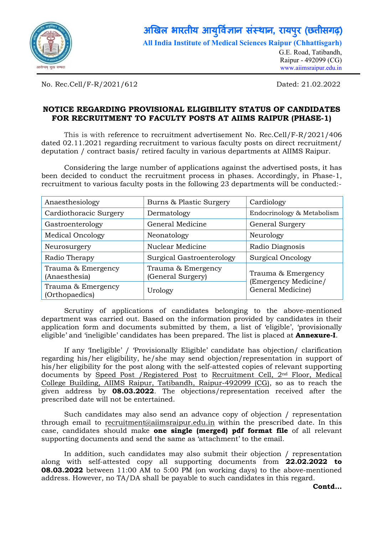

## अखिल भारतीय आयुर्विज्ञान संस्थान, रायपुर (छत्तीसगढ़) ु

All India Institute of Medical Sciences Raipur (Chhattisgarh)

G.E. Road, Tatibandh, Raipur - 492099 (CG) www.aiimsraipur.edu.in

No. Rec.Cell/F-R/2021/612 Dated: 21.02.2022

## NOTICE REGARDING PROVISIONAL ELIGIBILITY STATUS OF CANDIDATES FOR RECRUITMENT TO FACULTY POSTS AT AIIMS RAIPUR (PHASE-1)

This is with reference to recruitment advertisement No. Rec.Cell/F-R/2021/406 dated 02.11.2021 regarding recruitment to various faculty posts on direct recruitment/ deputation / contract basis/ retired faculty in various departments at AIIMS Raipur.

Considering the large number of applications against the advertised posts, it has been decided to conduct the recruitment process in phases. Accordingly, in Phase-1, recruitment to various faculty posts in the following 23 departments will be conducted:-

| Anaesthesiology                      | Burns & Plastic Surgery                 | Cardiology                                 |  |
|--------------------------------------|-----------------------------------------|--------------------------------------------|--|
| Cardiothoracic Surgery               | Dermatology                             | Endocrinology & Metabolism                 |  |
| Gastroenterology                     | General Medicine                        | General Surgery                            |  |
| <b>Medical Oncology</b>              | Neonatology                             | Neurology                                  |  |
| Neurosurgery                         | Nuclear Medicine                        | Radio Diagnosis                            |  |
| Radio Therapy                        | Surgical Gastroenterology               | <b>Surgical Oncology</b>                   |  |
| Trauma & Emergency<br>(Anaesthesia)  | Trauma & Emergency<br>(General Surgery) | Trauma & Emergency<br>(Emergency Medicine/ |  |
| Trauma & Emergency<br>(Orthopaedics) | Urology                                 | General Medicine)                          |  |

Scrutiny of applications of candidates belonging to the above-mentioned department was carried out. Based on the information provided by candidates in their application form and documents submitted by them, a list of 'eligible', 'provisionally eligible' and 'ineligible' candidates has been prepared. The list is placed at **Annexure-I**.

If any 'Ineligible' / 'Provisionally Eligible' candidate has objection/ clarification regarding his/her eligibility, he/she may send objection/representation in support of his/her eligibility for the post along with the self-attested copies of relevant supporting documents by Speed Post /Registered Post to Recruitment Cell, 2nd Floor, Medical College Building, AIIMS Raipur, Tatibandh, Raipur-492099 (CG), so as to reach the given address by **08.03.2022**. The objections/representation received after the prescribed date will not be entertained.

Such candidates may also send an advance copy of objection / representation through email to recruitment@aiimsraipur.edu.in within the prescribed date. In this case, candidates should make one single (merged) pdf format file of all relevant supporting documents and send the same as 'attachment' to the email.

In addition, such candidates may also submit their objection / representation along with self-attested copy all supporting documents from 22.02.2022 to 08.03.2022 between 11:00 AM to 5:00 PM (on working days) to the above-mentioned address. However, no TA/DA shall be payable to such candidates in this regard.

Contd…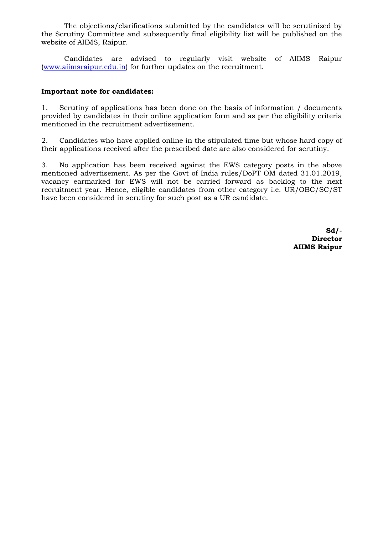The objections/clarifications submitted by the candidates will be scrutinized by the Scrutiny Committee and subsequently final eligibility list will be published on the website of AIIMS, Raipur.

Candidates are advised to regularly visit website of AIIMS Raipur (www.aiimsraipur.edu.in) for further updates on the recruitment.

## Important note for candidates:

1. Scrutiny of applications has been done on the basis of information / documents provided by candidates in their online application form and as per the eligibility criteria mentioned in the recruitment advertisement.

2. Candidates who have applied online in the stipulated time but whose hard copy of their applications received after the prescribed date are also considered for scrutiny.

3. No application has been received against the EWS category posts in the above mentioned advertisement. As per the Govt of India rules/DoPT OM dated 31.01.2019, vacancy earmarked for EWS will not be carried forward as backlog to the next recruitment year. Hence, eligible candidates from other category i.e. UR/OBC/SC/ST have been considered in scrutiny for such post as a UR candidate.

> Sd/- **Director** AIIMS Raipur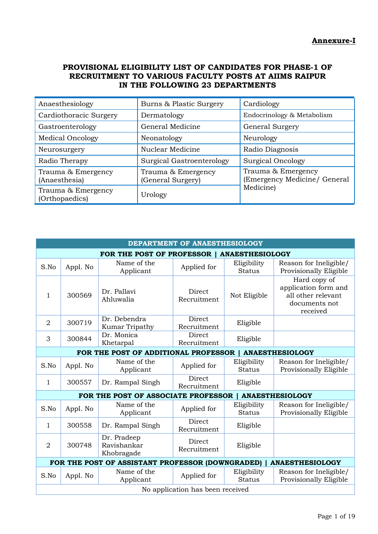## PROVISIONAL ELIGIBILITY LIST OF CANDIDATES FOR PHASE-1 OF RECRUITMENT TO VARIOUS FACULTY POSTS AT AIIMS RAIPUR IN THE FOLLOWING 23 DEPARTMENTS

| Anaesthesiology                      | Burns & Plastic Surgery                 | Cardiology                                         |
|--------------------------------------|-----------------------------------------|----------------------------------------------------|
| Cardiothoracic Surgery               | Dermatology                             | Endocrinology & Metabolism                         |
| Gastroenterology                     | General Medicine                        | General Surgery                                    |
| <b>Medical Oncology</b>              | Neonatology                             | Neurology                                          |
| Neurosurgery                         | Nuclear Medicine                        | Radio Diagnosis                                    |
| Radio Therapy                        | Surgical Gastroenterology               | Surgical Oncology                                  |
| Trauma & Emergency<br>(Anaesthesia)  | Trauma & Emergency<br>(General Surgery) | Trauma & Emergency<br>(Emergency Medicine/ General |
| Trauma & Emergency<br>(Orthopaedics) | Urology                                 | Medicine)                                          |

| DEPARTMENT OF ANAESTHESIOLOGY |                                                     |                                                  |                                  |                              |                                                                                         |  |  |
|-------------------------------|-----------------------------------------------------|--------------------------------------------------|----------------------------------|------------------------------|-----------------------------------------------------------------------------------------|--|--|
|                               | FOR THE POST OF PROFESSOR<br><b>ANAESTHESIOLOGY</b> |                                                  |                                  |                              |                                                                                         |  |  |
| S.No                          | Appl. No                                            | Name of the<br>Applicant                         | Applied for                      | Eligibility<br><b>Status</b> | Reason for Ineligible/<br>Provisionally Eligible                                        |  |  |
| $\mathbf 1$                   | 300569                                              | Dr. Pallavi<br>Ahluwalia                         | Direct<br>Recruitment            | Not Eligible                 | Hard copy of<br>application form and<br>all other relevant<br>documents not<br>received |  |  |
| $\overline{2}$                | 300719                                              | Dr. Debendra<br>Kumar Tripathy                   | Direct<br>Recruitment            | Eligible                     |                                                                                         |  |  |
| 3                             | 300844                                              | Dr. Monica<br>Khetarpal                          | Direct<br>Recruitment            | Eligible                     |                                                                                         |  |  |
|                               |                                                     | FOR THE POST OF ADDITIONAL PROFESSOR             |                                  |                              | <b>ANAESTHESIOLOGY</b>                                                                  |  |  |
| S.No                          | Appl. No                                            | Name of the<br>Applicant                         | Applied for                      | Eligibility<br><b>Status</b> | Reason for Ineligible/<br>Provisionally Eligible                                        |  |  |
| $\mathbf{1}$                  | 300557                                              | Dr. Rampal Singh                                 | Direct<br>Recruitment            | Eligible                     |                                                                                         |  |  |
|                               |                                                     | FOR THE POST OF ASSOCIATE PROFESSOR              |                                  |                              | <b>ANAESTHESIOLOGY</b>                                                                  |  |  |
| S.No                          | Appl. No                                            | Name of the<br>Applicant                         | Applied for                      | Eligibility<br><b>Status</b> | Reason for Ineligible/<br>Provisionally Eligible                                        |  |  |
| 1                             | 300558                                              | Dr. Rampal Singh                                 | Direct<br>Recruitment            | Eligible                     |                                                                                         |  |  |
| $\overline{2}$                | 300748                                              | Dr. Pradeep<br>Ravishankar<br>Khobragade         | Direct<br>Recruitment            | Eligible                     |                                                                                         |  |  |
|                               |                                                     | FOR THE POST OF ASSISTANT PROFESSOR (DOWNGRADED) |                                  |                              | <b>ANAESTHESIOLOGY</b>                                                                  |  |  |
| S.No                          | Appl. No                                            | Name of the<br>Applicant                         | Applied for                      | Eligibility<br><b>Status</b> | Reason for Ineligible/<br>Provisionally Eligible                                        |  |  |
|                               |                                                     |                                                  | No application has been received |                              |                                                                                         |  |  |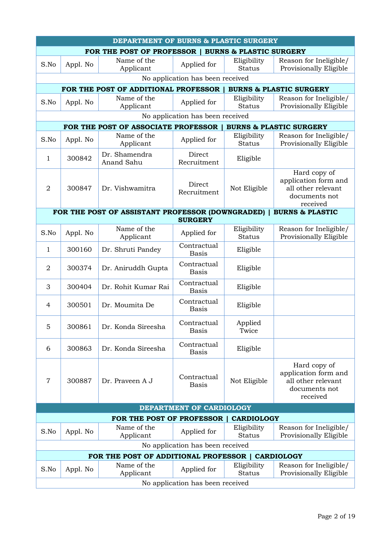|                                                                   |                                  | DEPARTMENT OF BURNS & PLASTIC SURGERY            |                                  |                              |                                                                                         |  |
|-------------------------------------------------------------------|----------------------------------|--------------------------------------------------|----------------------------------|------------------------------|-----------------------------------------------------------------------------------------|--|
| FOR THE POST OF PROFESSOR  <br><b>BURNS &amp; PLASTIC SURGERY</b> |                                  |                                                  |                                  |                              |                                                                                         |  |
| S.No                                                              | Appl. No                         | Name of the<br>Applicant                         | Applied for                      | Eligibility<br><b>Status</b> | Reason for Ineligible/<br>Provisionally Eligible                                        |  |
|                                                                   |                                  |                                                  | No application has been received |                              |                                                                                         |  |
|                                                                   |                                  | FOR THE POST OF ADDITIONAL PROFESSOR             |                                  |                              | <b>BURNS &amp; PLASTIC SURGERY</b>                                                      |  |
| S.No                                                              | Appl. No                         | Name of the<br>Applicant                         | Applied for                      | Eligibility<br><b>Status</b> | Reason for Ineligible/<br>Provisionally Eligible                                        |  |
|                                                                   |                                  |                                                  | No application has been received |                              |                                                                                         |  |
|                                                                   |                                  | FOR THE POST OF ASSOCIATE PROFESSOR              |                                  |                              | <b>BURNS &amp; PLASTIC SURGERY</b>                                                      |  |
| S.No                                                              | Appl. No                         | Name of the<br>Applicant                         | Applied for                      | Eligibility<br><b>Status</b> | Reason for Ineligible/<br>Provisionally Eligible                                        |  |
| 1                                                                 | 300842                           | Dr. Shamendra<br>Anand Sahu                      | Direct<br>Recruitment            | Eligible                     |                                                                                         |  |
| $\overline{2}$                                                    | 300847                           | Dr. Vishwamitra                                  | Direct<br>Recruitment            | Not Eligible                 | Hard copy of<br>application form and<br>all other relevant<br>documents not<br>received |  |
|                                                                   |                                  | FOR THE POST OF ASSISTANT PROFESSOR (DOWNGRADED) |                                  |                              | <b>BURNS &amp; PLASTIC</b>                                                              |  |
|                                                                   |                                  | Name of the                                      | <b>SURGERY</b>                   |                              |                                                                                         |  |
| S.No                                                              | Appl. No                         | Applicant                                        | Applied for                      | Eligibility<br><b>Status</b> | Reason for Ineligible/<br>Provisionally Eligible                                        |  |
| $\mathbf{1}$                                                      | 300160                           | Dr. Shruti Pandey                                | Contractual<br><b>Basis</b>      | Eligible                     |                                                                                         |  |
| $\overline{2}$                                                    | 300374                           | Dr. Aniruddh Gupta                               | Contractual<br><b>Basis</b>      | Eligible                     |                                                                                         |  |
| 3                                                                 | 300404                           | Dr. Rohit Kumar Rai                              | Contractual<br><b>Basis</b>      | Eligible                     |                                                                                         |  |
| 4                                                                 | 300501                           | Dr. Moumita De                                   | Contractual<br><b>Basis</b>      | Eligible                     |                                                                                         |  |
| 5                                                                 | 300861                           | Dr. Konda Sireesha                               | Contractual<br><b>Basis</b>      | Applied<br>Twice             |                                                                                         |  |
| 6                                                                 | 300863                           | Dr. Konda Sireesha                               | Contractual<br><b>Basis</b>      | Eligible                     |                                                                                         |  |
| 7                                                                 | 300887                           | Dr. Praveen A J                                  | Contractual<br><b>Basis</b>      | Not Eligible                 | Hard copy of<br>application form and<br>all other relevant<br>documents not<br>received |  |
|                                                                   | DEPARTMENT OF CARDIOLOGY         |                                                  |                                  |                              |                                                                                         |  |
|                                                                   |                                  | FOR THE POST OF PROFESSOR                        |                                  | <b>CARDIOLOGY</b>            |                                                                                         |  |
| S.No                                                              | Appl. No                         | Name of the<br>Applicant                         | Applied for                      | Eligibility<br><b>Status</b> | Reason for Ineligible/<br>Provisionally Eligible                                        |  |
|                                                                   |                                  |                                                  | No application has been received |                              |                                                                                         |  |
|                                                                   |                                  | FOR THE POST OF ADDITIONAL PROFESSOR             |                                  |                              | <b>CARDIOLOGY</b>                                                                       |  |
| S.No                                                              | Appl. No                         | Name of the<br>Applicant                         | Applied for                      | Eligibility<br><b>Status</b> | Reason for Ineligible/<br>Provisionally Eligible                                        |  |
|                                                                   | No application has been received |                                                  |                                  |                              |                                                                                         |  |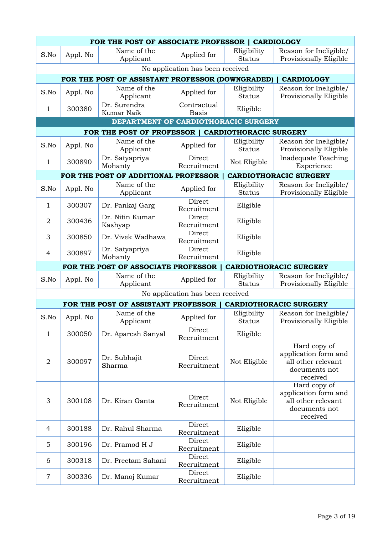| FOR THE POST OF ASSOCIATE PROFESSOR   CARDIOLOGY |          |                                                    |                                  |                              |                                                                                         |  |
|--------------------------------------------------|----------|----------------------------------------------------|----------------------------------|------------------------------|-----------------------------------------------------------------------------------------|--|
| S.No                                             | Appl. No | Name of the<br>Applicant                           | Applied for                      | Eligibility<br><b>Status</b> | Reason for Ineligible/<br>Provisionally Eligible                                        |  |
|                                                  |          |                                                    | No application has been received |                              |                                                                                         |  |
|                                                  |          | FOR THE POST OF ASSISTANT PROFESSOR (DOWNGRADED)   |                                  |                              | <b>CARDIOLOGY</b>                                                                       |  |
| S.No                                             | Appl. No | Name of the<br>Applicant                           | Applied for                      | Eligibility<br><b>Status</b> | Reason for Ineligible/<br>Provisionally Eligible                                        |  |
| 1                                                | 300380   | Dr. Surendra<br>Kumar Naik                         | Contractual<br><b>Basis</b>      | Eligible                     |                                                                                         |  |
|                                                  |          | DEPARTMENT OF CARDIOTHORACIC SURGERY               |                                  |                              |                                                                                         |  |
|                                                  |          | FOR THE POST OF PROFESSOR   CARDIOTHORACIC SURGERY |                                  |                              |                                                                                         |  |
| S.No                                             | Appl. No | Name of the<br>Applicant                           | Applied for                      | Eligibility<br><b>Status</b> | Reason for Ineligible/<br>Provisionally Eligible                                        |  |
| 1                                                | 300890   | Dr. Satyapriya<br>Mohanty                          | Direct<br>Recruitment            | Not Eligible                 | Inadequate Teaching<br>Experience                                                       |  |
|                                                  |          | FOR THE POST OF ADDITIONAL PROFESSOR               |                                  |                              | <b>CARDIOTHORACIC SURGERY</b>                                                           |  |
| S.No                                             | Appl. No | Name of the<br>Applicant                           | Applied for                      | Eligibility<br><b>Status</b> | Reason for Ineligible/<br>Provisionally Eligible                                        |  |
| 1                                                | 300307   | Dr. Pankaj Garg                                    | Direct<br>Recruitment            | Eligible                     |                                                                                         |  |
| $\overline{2}$                                   | 300436   | Dr. Nitin Kumar<br>Kashyap                         | Direct<br>Recruitment            | Eligible                     |                                                                                         |  |
| 3                                                | 300850   | Dr. Vivek Wadhawa                                  | Direct<br>Recruitment            | Eligible                     |                                                                                         |  |
| 4                                                | 300897   | Dr. Satyapriya<br>Mohanty                          | Direct<br>Recruitment            | Eligible                     |                                                                                         |  |
|                                                  |          |                                                    |                                  |                              |                                                                                         |  |
|                                                  |          | FOR THE POST OF ASSOCIATE PROFESSOR                |                                  |                              | <b>CARDIOTHORACIC SURGERY</b>                                                           |  |
| S.No                                             | Appl. No | Name of the<br>Applicant                           | Applied for                      | Eligibility<br><b>Status</b> | Reason for Ineligible/<br>Provisionally Eligible                                        |  |
|                                                  |          |                                                    | No application has been received |                              |                                                                                         |  |
|                                                  |          | FOR THE POST OF ASSISTANT PROFESSOR                |                                  |                              | <b>CARDIOTHORACIC SURGERY</b>                                                           |  |
| S.No                                             | Appl. No | Name of the<br>Applicant                           | Applied for                      | Eligibility<br><b>Status</b> | Reason for Ineligible/<br>Provisionally Eligible                                        |  |
| $\mathbf 1$                                      | 300050   | Dr. Aparesh Sanyal                                 | Direct<br>Recruitment            | Eligible                     |                                                                                         |  |
| $\overline{2}$                                   | 300097   | Dr. Subhajit<br>Sharma                             | Direct<br>Recruitment            | Not Eligible                 | Hard copy of<br>application form and<br>all other relevant<br>documents not<br>received |  |
| 3                                                | 300108   | Dr. Kiran Ganta                                    | Direct<br>Recruitment            | Not Eligible                 | Hard copy of<br>application form and<br>all other relevant<br>documents not<br>received |  |
| 4                                                | 300188   | Dr. Rahul Sharma                                   | Direct<br>Recruitment            | Eligible                     |                                                                                         |  |
| 5                                                | 300196   | Dr. Pramod H J                                     | Direct<br>Recruitment            | Eligible                     |                                                                                         |  |
| 6                                                | 300318   | Dr. Preetam Sahani                                 | Direct<br>Recruitment<br>Direct  | Eligible                     |                                                                                         |  |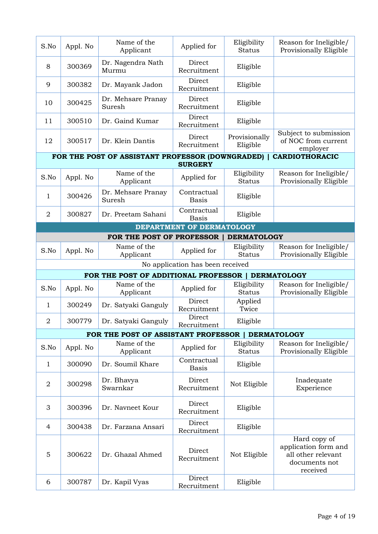| S.No           | Appl. No | Name of the<br>Applicant                         | Applied for                      | Eligibility<br><b>Status</b> | Reason for Ineligible/<br>Provisionally Eligible                                        |
|----------------|----------|--------------------------------------------------|----------------------------------|------------------------------|-----------------------------------------------------------------------------------------|
| 8              | 300369   | Dr. Nagendra Nath<br>Murmu                       | Direct<br>Recruitment            | Eligible                     |                                                                                         |
| 9              | 300382   | Dr. Mayank Jadon                                 | Direct<br>Recruitment            | Eligible                     |                                                                                         |
| 10             | 300425   | Dr. Mehsare Pranay<br>Suresh                     | Direct<br>Recruitment            | Eligible                     |                                                                                         |
| 11             | 300510   | Dr. Gaind Kumar                                  | Direct<br>Recruitment            | Eligible                     |                                                                                         |
| 12             | 300517   | Dr. Klein Dantis                                 | Direct<br>Recruitment            | Provisionally<br>Eligible    | Subject to submission<br>of NOC from current<br>employer                                |
|                |          | FOR THE POST OF ASSISTANT PROFESSOR (DOWNGRADED) | <b>SURGERY</b>                   |                              | <b>CARDIOTHORACIC</b>                                                                   |
| S.No           | Appl. No | Name of the<br>Applicant                         | Applied for                      | Eligibility<br><b>Status</b> | Reason for Ineligible/<br>Provisionally Eligible                                        |
| 1              | 300426   | Dr. Mehsare Pranay<br>Suresh                     | Contractual<br><b>Basis</b>      | Eligible                     |                                                                                         |
| $\overline{2}$ | 300827   | Dr. Preetam Sahani                               | Contractual<br><b>Basis</b>      | Eligible                     |                                                                                         |
|                |          |                                                  | DEPARTMENT OF DERMATOLOGY        |                              |                                                                                         |
|                |          | FOR THE POST OF PROFESSOR                        |                                  | <b>DERMATOLOGY</b>           |                                                                                         |
| S.No           | Appl. No | Name of the<br>Applicant                         | Applied for                      | Eligibility<br><b>Status</b> | Reason for Ineligible/<br>Provisionally Eligible                                        |
|                |          |                                                  | No application has been received |                              |                                                                                         |
|                |          | FOR THE POST OF ADDITIONAL PROFESSOR             |                                  |                              | <b>DERMATOLOGY</b>                                                                      |
| S.No           | Appl. No | Name of the<br>Applicant                         | Applied for                      | Eligibility<br><b>Status</b> | Reason for Ineligible/<br>Provisionally Eligible                                        |
| 1              | 300249   | Dr. Satyaki Ganguly                              | Direct<br>Recruitment            | Applied<br>Twice             |                                                                                         |
| 2              | 300779   | Dr. Satyaki Ganguly                              | Direct<br>Recruitment            | Eligible                     |                                                                                         |
|                |          | FOR THE POST OF ASSISTANT PROFESSOR              |                                  |                              | <b>DERMATOLOGY</b>                                                                      |
| S.No           | Appl. No | Name of the<br>Applicant                         | Applied for                      | Eligibility<br><b>Status</b> | Reason for Ineligible/<br>Provisionally Eligible                                        |
| $\mathbf{1}$   | 300090   | Dr. Soumil Khare                                 | Contractual<br><b>Basis</b>      | Eligible                     |                                                                                         |
| $\overline{2}$ | 300298   | Dr. Bhavya<br>Swarnkar                           | Direct<br>Recruitment            | Not Eligible                 | Inadequate<br>Experience                                                                |
| 3              | 300396   | Dr. Navneet Kour                                 | Direct<br>Recruitment            | Eligible                     |                                                                                         |
| $\overline{4}$ | 300438   | Dr. Farzana Ansari                               | Direct<br>Recruitment            | Eligible                     |                                                                                         |
| $\mathbf 5$    | 300622   | Dr. Ghazal Ahmed                                 | Direct<br>Recruitment            | Not Eligible                 | Hard copy of<br>application form and<br>all other relevant<br>documents not<br>received |
| 6              | 300787   | Dr. Kapil Vyas                                   | Direct<br>Recruitment            | Eligible                     |                                                                                         |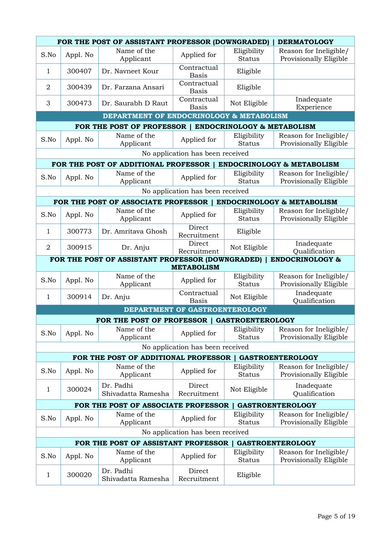|                |          | FOR THE POST OF ASSISTANT PROFESSOR (DOWNGRADED)                 |                                  |                              | <b>DERMATOLOGY</b>                               |
|----------------|----------|------------------------------------------------------------------|----------------------------------|------------------------------|--------------------------------------------------|
| S.No           | Appl. No | Name of the<br>Applicant                                         | Applied for                      | Eligibility<br><b>Status</b> | Reason for Ineligible/<br>Provisionally Eligible |
| 1              | 300407   | Dr. Navneet Kour                                                 | Contractual<br><b>Basis</b>      | Eligible                     |                                                  |
| $\overline{2}$ | 300439   | Dr. Farzana Ansari                                               | Contractual<br><b>Basis</b>      | Eligible                     |                                                  |
| 3              | 300473   | Dr. Saurabh D Raut                                               | Contractual<br><b>Basis</b>      | Not Eligible                 | Inadequate<br>Experience                         |
|                |          | DEPARTMENT OF ENDOCRINOLOGY & METABOLISM                         |                                  |                              |                                                  |
|                |          | FOR THE POST OF PROFESSOR   ENDOCRINOLOGY & METABOLISM           |                                  |                              |                                                  |
| S.No           | Appl. No | Name of the<br>Applicant                                         | Applied for                      | Eligibility<br><b>Status</b> | Reason for Ineligible/<br>Provisionally Eligible |
|                |          |                                                                  | No application has been received |                              |                                                  |
|                |          | FOR THE POST OF ADDITIONAL PROFESSOR                             |                                  |                              | <b>ENDOCRINOLOGY &amp; METABOLISM</b>            |
| S.No           | Appl. No | Name of the<br>Applicant                                         | Applied for                      | Eligibility<br><b>Status</b> | Reason for Ineligible/<br>Provisionally Eligible |
|                |          |                                                                  | No application has been received |                              |                                                  |
|                |          | FOR THE POST OF ASSOCIATE PROFESSOR   ENDOCRINOLOGY & METABOLISM |                                  |                              |                                                  |
| S.No           | Appl. No | Name of the<br>Applicant                                         | Applied for                      | Eligibility<br><b>Status</b> | Reason for Ineligible/<br>Provisionally Eligible |
| 1              | 300773   | Dr. Amritava Ghosh                                               | Direct<br>Recruitment            | Eligible                     |                                                  |
| $\overline{2}$ | 300915   | Dr. Anju                                                         | Direct<br>Recruitment            | Not Eligible                 | Inadequate<br>Qualification                      |
|                |          | FOR THE POST OF ASSISTANT PROFESSOR (DOWNGRADED)                 | <b>METABOLISM</b>                |                              | <b>ENDOCRINOLOGY &amp;</b>                       |
|                |          | Name of the                                                      |                                  | Eligibility                  | Reason for Ineligible/                           |
| S.No           | Appl. No | Applicant                                                        | Applied for<br>Contractual       | <b>Status</b>                | Provisionally Eligible<br>Inadequate             |
| 1              | 300914   | Dr. Anju                                                         | <b>Basis</b>                     | Not Eligible                 | Qualification                                    |
|                |          |                                                                  | DEPARTMENT OF GASTROENTEROLOGY   |                              |                                                  |
|                |          | FOR THE POST OF PROFESSOR   GASTROENTEROLOGY                     |                                  |                              |                                                  |
| S.No           | Appl. No | Name of the<br>Applicant                                         | Applied for                      | Eligibility<br><b>Status</b> | Reason for Ineligible/<br>Provisionally Eligible |
|                |          |                                                                  | No application has been received |                              |                                                  |
|                |          | FOR THE POST OF ADDITIONAL PROFESSOR                             |                                  |                              | <b>GASTROENTEROLOGY</b>                          |
| S.No           | Appl. No | Name of the<br>Applicant                                         | Applied for                      | Eligibility<br><b>Status</b> | Reason for Ineligible/<br>Provisionally Eligible |
| 1              | 300024   | Dr. Padhi<br>Shivadatta Ramesha                                  | Direct<br>Recruitment            | Not Eligible                 | Inadequate<br>Qualification                      |
|                |          | FOR THE POST OF ASSOCIATE PROFESSOR                              |                                  |                              | <b>GASTROENTEROLOGY</b>                          |
| S.No           | Appl. No | Name of the<br>Applicant                                         | Applied for                      | Eligibility<br><b>Status</b> | Reason for Ineligible/<br>Provisionally Eligible |
|                |          |                                                                  | No application has been received |                              |                                                  |
|                |          | FOR THE POST OF ASSISTANT PROFESSOR                              |                                  |                              | <b>GASTROENTEROLOGY</b>                          |
| S.No           | Appl. No | Name of the<br>Applicant                                         | Applied for                      | Eligibility<br><b>Status</b> | Reason for Ineligible/<br>Provisionally Eligible |
| $\mathbf{1}$   | 300020   | Dr. Padhi<br>Shivadatta Ramesha                                  | Direct<br>Recruitment            | Eligible                     |                                                  |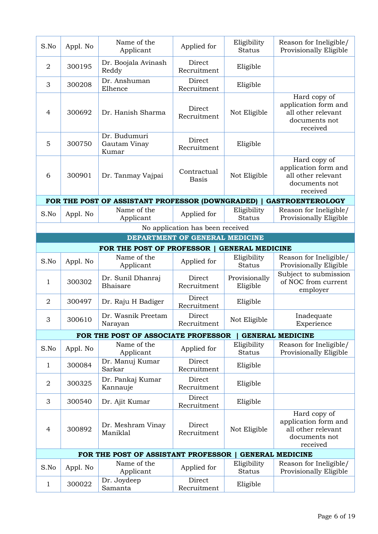| S.No                      | Appl. No | Name of the<br>Applicant                         | Applied for                      | Eligibility<br><b>Status</b> | Reason for Ineligible/<br>Provisionally Eligible                                        |
|---------------------------|----------|--------------------------------------------------|----------------------------------|------------------------------|-----------------------------------------------------------------------------------------|
| $\overline{2}$            | 300195   | Dr. Boojala Avinash<br>Reddy                     | Direct<br>Recruitment            | Eligible                     |                                                                                         |
| 3                         | 300208   | Dr. Anshuman<br>Elhence                          | Direct<br>Recruitment            | Eligible                     |                                                                                         |
| 4                         | 300692   | Dr. Hanish Sharma                                | Direct<br>Recruitment            | Not Eligible                 | Hard copy of<br>application form and<br>all other relevant<br>documents not<br>received |
| 5                         | 300750   | Dr. Budumuri<br>Gautam Vinay<br>Kumar            | Direct<br>Recruitment            | Eligible                     |                                                                                         |
| 6                         | 300901   | Dr. Tanmay Vajpai                                | Contractual<br><b>Basis</b>      | Not Eligible                 | Hard copy of<br>application form and<br>all other relevant<br>documents not<br>received |
|                           |          | FOR THE POST OF ASSISTANT PROFESSOR (DOWNGRADED) |                                  |                              | <b>GASTROENTEROLOGY</b>                                                                 |
| S.No                      | Appl. No | Name of the<br>Applicant                         | Applied for                      | Eligibility<br><b>Status</b> | Reason for Ineligible/<br>Provisionally Eligible                                        |
|                           |          |                                                  | No application has been received |                              |                                                                                         |
|                           |          |                                                  | DEPARTMENT OF GENERAL MEDICINE   |                              |                                                                                         |
|                           |          |                                                  |                                  |                              |                                                                                         |
|                           |          | FOR THE POST OF PROFESSOR                        |                                  | <b>GENERAL MEDICINE</b>      |                                                                                         |
| S.No                      | Appl. No | Name of the<br>Applicant                         | Applied for                      | Eligibility<br><b>Status</b> | Reason for Ineligible/<br>Provisionally Eligible                                        |
| 1                         | 300302   | Dr. Sunil Dhanraj<br><b>Bhaisare</b>             | Direct<br>Recruitment            | Provisionally<br>Eligible    | Subject to submission<br>of NOC from current<br>employer                                |
| $\overline{2}$            | 300497   | Dr. Raju H Badiger                               | Direct<br>Recruitment            | Eligible                     |                                                                                         |
| $\ensuremath{\mathsf{3}}$ | 300610   | Dr. Wasnik Preetam<br>Narayan                    | Direct<br>Recruitment            | Not Eligible                 | Inadequate<br>Experience                                                                |
|                           |          | FOR THE POST OF ASSOCIATE PROFESSOR              |                                  |                              | <b>GENERAL MEDICINE</b>                                                                 |
| S.No                      | Appl. No | Name of the<br>Applicant                         | Applied for                      | Eligibility<br><b>Status</b> | Reason for Ineligible/<br>Provisionally Eligible                                        |
| $\mathbf 1$               | 300084   | Dr. Manuj Kumar<br>Sarkar                        | <b>Direct</b><br>Recruitment     | Eligible                     |                                                                                         |
| $\overline{2}$            | 300325   | Dr. Pankaj Kumar<br>Kannauje                     | Direct<br>Recruitment            | Eligible                     |                                                                                         |
| 3                         | 300540   | Dr. Ajit Kumar                                   | Direct<br>Recruitment            | Eligible                     |                                                                                         |
| $\overline{4}$            | 300892   | Dr. Meshram Vinay<br>Maniklal                    | Direct<br>Recruitment            | Not Eligible                 | Hard copy of<br>application form and<br>all other relevant<br>documents not<br>received |
|                           |          | FOR THE POST OF ASSISTANT PROFESSOR              |                                  |                              | <b>GENERAL MEDICINE</b>                                                                 |
| S.No                      | Appl. No | Name of the<br>Applicant                         | Applied for                      | Eligibility<br><b>Status</b> | Reason for Ineligible/<br>Provisionally Eligible                                        |
| $\mathbf{1}$              | 300022   | Dr. Joydeep<br>Samanta                           | Direct<br>Recruitment            | Eligible                     |                                                                                         |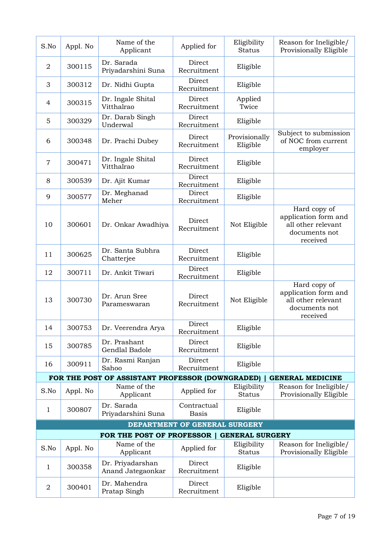| S.No             | Appl. No | Name of the<br>Applicant                         | Applied for                   | Eligibility<br><b>Status</b> | Reason for Ineligible/<br>Provisionally Eligible                                        |
|------------------|----------|--------------------------------------------------|-------------------------------|------------------------------|-----------------------------------------------------------------------------------------|
| $\overline{2}$   | 300115   | Dr. Sarada<br>Priyadarshini Suna                 | Direct<br>Recruitment         | Eligible                     |                                                                                         |
| 3                | 300312   | Dr. Nidhi Gupta                                  | Direct<br>Recruitment         | Eligible                     |                                                                                         |
| 4                | 300315   | Dr. Ingale Shital<br>Vitthalrao                  | Direct<br>Recruitment         | Applied<br>Twice             |                                                                                         |
| 5                | 300329   | Dr. Darab Singh<br>Underwal                      | Direct<br>Recruitment         | Eligible                     |                                                                                         |
| 6                | 300348   | Dr. Prachi Dubey                                 | Direct<br>Recruitment         | Provisionally<br>Eligible    | Subject to submission<br>of NOC from current<br>employer                                |
| $\overline{7}$   | 300471   | Dr. Ingale Shital<br>Vitthalrao                  | Direct<br>Recruitment         | Eligible                     |                                                                                         |
| 8                | 300539   | Dr. Ajit Kumar                                   | Direct<br>Recruitment         | Eligible                     |                                                                                         |
| 9                | 300577   | Dr. Meghanad<br>Meher                            | Direct<br>Recruitment         | Eligible                     |                                                                                         |
| 10               | 300601   | Dr. Onkar Awadhiya                               | Direct<br>Recruitment         | Not Eligible                 | Hard copy of<br>application form and<br>all other relevant<br>documents not<br>received |
| 11               | 300625   | Dr. Santa Subhra<br>Chatterjee                   | Direct<br>Recruitment         | Eligible                     |                                                                                         |
| 12               | 300711   | Dr. Ankit Tiwari                                 | Direct<br>Recruitment         | Eligible                     |                                                                                         |
| 13               | 300730   | Dr. Arun Sree<br>Parameswaran                    | Direct<br>Recruitment         | Not Eligible                 | Hard copy of<br>application form and<br>all other relevant<br>documents not<br>received |
| 14               | 300753   | Dr. Veerendra Arya                               | Direct<br>Recruitment         | Eligible                     |                                                                                         |
| 15               | 300785   | Dr. Prashant<br>Gendlal Badole                   | Direct<br>Recruitment         | Eligible                     |                                                                                         |
| 16               | 300911   | Dr. Rasmi Ranjan<br>Sahoo                        | Direct<br>Recruitment         | Eligible                     |                                                                                         |
|                  |          | FOR THE POST OF ASSISTANT PROFESSOR (DOWNGRADED) |                               |                              | <b>GENERAL MEDICINE</b>                                                                 |
| S.No             | Appl. No | Name of the<br>Applicant                         | Applied for                   | Eligibility<br><b>Status</b> | Reason for Ineligible/<br>Provisionally Eligible                                        |
| 1                | 300807   | Dr. Sarada<br>Priyadarshini Suna                 | Contractual<br><b>Basis</b>   | Eligible                     |                                                                                         |
|                  |          |                                                  | DEPARTMENT OF GENERAL SURGERY |                              |                                                                                         |
|                  |          | FOR THE POST OF PROFESSOR                        |                               | <b>GENERAL SURGERY</b>       |                                                                                         |
| S.No             | Appl. No | Name of the<br>Applicant                         | Applied for                   | Eligibility<br><b>Status</b> | Reason for Ineligible/<br>Provisionally Eligible                                        |
| 1                | 300358   | Dr. Priyadarshan<br>Anand Jategaonkar            | Direct<br>Recruitment         | Eligible                     |                                                                                         |
| $\boldsymbol{2}$ | 300401   | Dr. Mahendra<br>Pratap Singh                     | Direct<br>Recruitment         | Eligible                     |                                                                                         |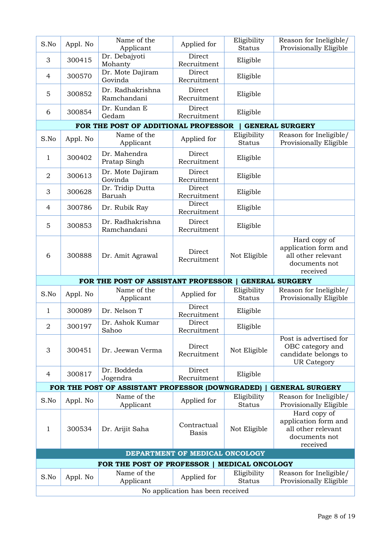| S.No           | Appl. No | Name of the<br>Applicant                         | Applied for                                     | Eligibility<br><b>Status</b> | Reason for Ineligible/<br>Provisionally Eligible                                         |
|----------------|----------|--------------------------------------------------|-------------------------------------------------|------------------------------|------------------------------------------------------------------------------------------|
| 3              | 300415   | Dr. Debajyoti<br>Mohanty                         | Direct<br>Recruitment                           | Eligible                     |                                                                                          |
| $\overline{4}$ | 300570   | Dr. Mote Dajiram<br>Govinda                      | Direct<br>Recruitment                           | Eligible                     |                                                                                          |
| 5              | 300852   | Dr. Radhakrishna<br>Ramchandani                  | Direct<br>Recruitment                           | Eligible                     |                                                                                          |
| 6              | 300854   | Dr. Kundan E<br>Gedam                            | Direct<br>Recruitment                           | Eligible                     |                                                                                          |
|                |          | FOR THE POST OF ADDITIONAL PROFESSOR             |                                                 |                              | <b>GENERAL SURGERY</b>                                                                   |
| S.No           | Appl. No | Name of the<br>Applicant                         | Applied for                                     | Eligibility<br><b>Status</b> | Reason for Ineligible/<br>Provisionally Eligible                                         |
| 1              | 300402   | Dr. Mahendra<br>Pratap Singh                     | Direct<br>Recruitment                           | Eligible                     |                                                                                          |
| $\overline{2}$ | 300613   | Dr. Mote Dajiram<br>Govinda                      | Direct<br>Recruitment                           | Eligible                     |                                                                                          |
| 3              | 300628   | Dr. Tridip Dutta<br>Baruah                       | Direct<br>Recruitment                           | Eligible                     |                                                                                          |
| 4              | 300786   | Dr. Rubik Ray                                    | Direct<br>Recruitment                           | Eligible                     |                                                                                          |
| 5              | 300853   | Dr. Radhakrishna<br>Ramchandani                  | Direct<br>Recruitment                           | Eligible                     |                                                                                          |
| 6              | 300888   | Dr. Amit Agrawal                                 | Direct<br>Recruitment                           | Not Eligible                 | Hard copy of<br>application form and<br>all other relevant<br>documents not<br>received  |
|                |          | FOR THE POST OF ASSISTANT PROFESSOR              |                                                 |                              | <b>GENERAL SURGERY</b>                                                                   |
| S.No           | Appl. No | Name of the<br>Applicant                         | Applied for                                     | Eligibility<br><b>Status</b> | Reason for Ineligible/<br>Provisionally Eligible                                         |
| 1              | 300089   | Dr. Nelson T                                     | Direct<br>Recruitment                           | Eligible                     |                                                                                          |
| $\overline{2}$ | 300197   | Dr. Ashok Kumar<br>Sahoo                         | Direct<br>Recruitment                           | Eligible                     |                                                                                          |
| 3              |          |                                                  |                                                 |                              |                                                                                          |
|                | 300451   | Dr. Jeewan Verma                                 | Direct<br>Recruitment                           | Not Eligible                 | Post is advertised for<br>OBC category and<br>candidate belongs to<br><b>UR Category</b> |
| 4              | 300817   | Dr. Boddeda<br>Jogendra                          | Direct<br>Recruitment                           | Eligible                     |                                                                                          |
|                |          | FOR THE POST OF ASSISTANT PROFESSOR (DOWNGRADED) |                                                 |                              | <b>GENERAL SURGERY</b>                                                                   |
| S.No           | Appl. No | Name of the<br>Applicant                         | Applied for                                     | Eligibility<br><b>Status</b> | Reason for Ineligible/<br>Provisionally Eligible                                         |
| 1              | 300534   | Dr. Arijit Saha                                  | Contractual<br><b>Basis</b>                     | Not Eligible                 | Hard copy of<br>application form and<br>all other relevant<br>documents not<br>received  |
|                |          |                                                  | DEPARTMENT OF MEDICAL ONCOLOGY                  |                              |                                                                                          |
|                |          | FOR THE POST OF PROFESSOR                        |                                                 | <b>MEDICAL ONCOLOGY</b>      |                                                                                          |
| S.No           | Appl. No | Name of the<br>Applicant                         | Applied for<br>No application has been received | Eligibility<br><b>Status</b> | Reason for Ineligible/<br>Provisionally Eligible                                         |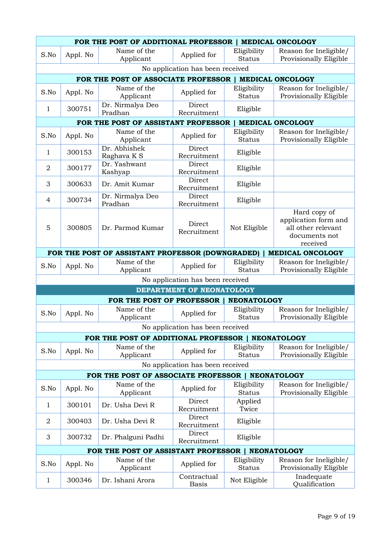|                                  | FOR THE POST OF ADDITIONAL PROFESSOR<br><b>MEDICAL ONCOLOGY</b> |                                                    |                                  |                              |                                                                                         |  |
|----------------------------------|-----------------------------------------------------------------|----------------------------------------------------|----------------------------------|------------------------------|-----------------------------------------------------------------------------------------|--|
| S.No                             | Appl. No                                                        | Name of the<br>Applicant                           | Applied for                      | Eligibility<br><b>Status</b> | Reason for Ineligible/<br>Provisionally Eligible                                        |  |
| No application has been received |                                                                 |                                                    |                                  |                              |                                                                                         |  |
|                                  |                                                                 | FOR THE POST OF ASSOCIATE PROFESSOR                |                                  |                              | <b>MEDICAL ONCOLOGY</b>                                                                 |  |
| S.No                             | Appl. No                                                        | Name of the<br>Applicant                           | Applied for                      | Eligibility<br><b>Status</b> | Reason for Ineligible/<br>Provisionally Eligible                                        |  |
| 1                                | 300751                                                          | Dr. Nirmalya Deo<br>Pradhan                        | Direct<br>Recruitment            | Eligible                     |                                                                                         |  |
|                                  |                                                                 | FOR THE POST OF ASSISTANT PROFESSOR                |                                  |                              | <b>MEDICAL ONCOLOGY</b>                                                                 |  |
| S.No                             | Appl. No                                                        | Name of the<br>Applicant                           | Applied for                      | Eligibility<br><b>Status</b> | Reason for Ineligible/<br>Provisionally Eligible                                        |  |
| 1                                | 300153                                                          | Dr. Abhishek<br>Raghava K S                        | Direct<br>Recruitment            | Eligible                     |                                                                                         |  |
| $\overline{2}$                   | 300177                                                          | Dr. Yashwant<br>Kashyap                            | Direct<br>Recruitment            | Eligible                     |                                                                                         |  |
| 3                                | 300633                                                          | Dr. Amit Kumar                                     | Direct<br>Recruitment            | Eligible                     |                                                                                         |  |
| $\overline{4}$                   | 300734                                                          | Dr. Nirmalya Deo<br>Pradhan                        | Direct<br>Recruitment            | Eligible                     |                                                                                         |  |
| 5                                | 300805                                                          | Dr. Parmod Kumar                                   | Direct<br>Recruitment            | Not Eligible                 | Hard copy of<br>application form and<br>all other relevant<br>documents not<br>received |  |
|                                  |                                                                 | FOR THE POST OF ASSISTANT PROFESSOR (DOWNGRADED)   |                                  |                              | <b>MEDICAL ONCOLOGY</b>                                                                 |  |
| S.No                             | Appl. No                                                        | Name of the<br>Applicant                           | Applied for                      | Eligibility<br><b>Status</b> | Reason for Ineligible/<br>Provisionally Eligible                                        |  |
|                                  |                                                                 |                                                    | No application has been received |                              |                                                                                         |  |
|                                  |                                                                 |                                                    | DEPARTMENT OF NEONATOLOGY        |                              |                                                                                         |  |
|                                  |                                                                 | FOR THE POST OF PROFESSOR                          |                                  | <b>NEONATOLOGY</b>           |                                                                                         |  |
| S.No                             | Appl. No                                                        | Name of the<br>Applicant                           | Applied for                      | Eligibility<br><b>Status</b> | Reason for Ineligible/<br>Provisionally Eligible                                        |  |
|                                  |                                                                 |                                                    | No application has been received |                              |                                                                                         |  |
|                                  |                                                                 | FOR THE POST OF ADDITIONAL PROFESSOR   NEONATOLOGY |                                  |                              |                                                                                         |  |
| S.No                             | Appl. No                                                        | Name of the<br>Applicant                           | Applied for                      | Eligibility<br><b>Status</b> | Reason for Ineligible/<br>Provisionally Eligible                                        |  |
|                                  |                                                                 |                                                    | No application has been received |                              |                                                                                         |  |
|                                  |                                                                 | FOR THE POST OF ASSOCIATE PROFESSOR                |                                  |                              | <b>NEONATOLOGY</b>                                                                      |  |
| S.No                             | Appl. No                                                        | Name of the<br>Applicant                           | Applied for                      | Eligibility<br><b>Status</b> | Reason for Ineligible/<br>Provisionally Eligible                                        |  |
| 1                                | 300101                                                          | Dr. Usha Devi R                                    | Direct<br>Recruitment            | Applied<br>Twice             |                                                                                         |  |
| $\overline{2}$                   | 300403                                                          | Dr. Usha Devi R                                    | Direct<br>Recruitment            | Eligible                     |                                                                                         |  |
| 3                                | 300732                                                          | Dr. Phalguni Padhi                                 | Direct<br>Recruitment            | Eligible                     |                                                                                         |  |
|                                  |                                                                 | FOR THE POST OF ASSISTANT PROFESSOR                |                                  |                              | <b>NEONATOLOGY</b>                                                                      |  |
| S.No                             | Appl. No                                                        | Name of the<br>Applicant                           | Applied for                      | Eligibility<br><b>Status</b> | Reason for Ineligible/<br>Provisionally Eligible                                        |  |
| 1                                | 300346                                                          | Dr. Ishani Arora                                   | Contractual<br><b>Basis</b>      | Not Eligible                 | Inadequate<br>Qualification                                                             |  |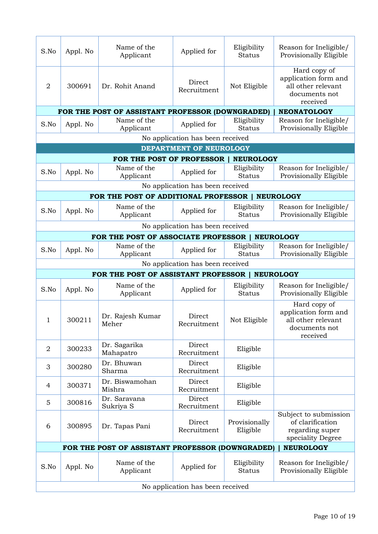| S.No           | Appl. No | Name of the<br>Applicant                         | Applied for                      | Eligibility<br><b>Status</b> | Reason for Ineligible/<br>Provisionally Eligible                                        |
|----------------|----------|--------------------------------------------------|----------------------------------|------------------------------|-----------------------------------------------------------------------------------------|
| $\overline{2}$ | 300691   | Dr. Rohit Anand                                  | Direct<br>Recruitment            | Not Eligible                 | Hard copy of<br>application form and<br>all other relevant<br>documents not<br>received |
|                |          | FOR THE POST OF ASSISTANT PROFESSOR (DOWNGRADED) |                                  |                              | <b>NEONATOLOGY</b>                                                                      |
| S.No           | Appl. No | Name of the<br>Applicant                         | Applied for                      | Eligibility<br><b>Status</b> | Reason for Ineligible/<br>Provisionally Eligible                                        |
|                |          |                                                  | No application has been received |                              |                                                                                         |
|                |          |                                                  | DEPARTMENT OF NEUROLOGY          |                              |                                                                                         |
|                |          | FOR THE POST OF PROFESSOR                        |                                  | <b>NEUROLOGY</b>             |                                                                                         |
| S.No           | Appl. No | Name of the<br>Applicant                         | Applied for                      | Eligibility<br><b>Status</b> | Reason for Ineligible/<br>Provisionally Eligible                                        |
|                |          |                                                  | No application has been received |                              |                                                                                         |
|                |          | FOR THE POST OF ADDITIONAL PROFESSOR             |                                  |                              | <b>NEUROLOGY</b>                                                                        |
| S.No           | Appl. No | Name of the<br>Applicant                         | Applied for                      | Eligibility<br><b>Status</b> | Reason for Ineligible/<br>Provisionally Eligible                                        |
|                |          |                                                  | No application has been received |                              |                                                                                         |
|                |          | FOR THE POST OF ASSOCIATE PROFESSOR              |                                  |                              | <b>NEUROLOGY</b>                                                                        |
| S.No           | Appl. No | Name of the<br>Applicant                         | Applied for                      | Eligibility<br><b>Status</b> | Reason for Ineligible/<br>Provisionally Eligible                                        |
|                |          |                                                  | No application has been received |                              |                                                                                         |
|                |          | FOR THE POST OF ASSISTANT PROFESSOR              |                                  |                              | <b>NEUROLOGY</b>                                                                        |
| S.No           | Appl. No | Name of the<br>Applicant                         | Applied for                      | Eligibility<br><b>Status</b> | Reason for Ineligible/<br>Provisionally Eligible                                        |
| $\mathbf{1}$   | 300211   | Dr. Rajesh Kumar<br>Meher                        | Direct<br>Recruitment            | Not Eligible                 | Hard copy of<br>application form and<br>all other relevant<br>documents not<br>received |
| $\overline{2}$ | 300233   | Dr. Sagarika<br>Mahapatro                        | Direct<br>Recruitment            | Eligible                     |                                                                                         |
| 3              | 300280   | Dr. Bhuwan<br>Sharma                             | Direct<br>Recruitment            | Eligible                     |                                                                                         |
| 4              | 300371   | Dr. Biswamohan<br>Mishra                         | Direct<br>Recruitment            | Eligible                     |                                                                                         |
| 5              | 300816   | Dr. Saravana<br>Sukriya S                        | Direct<br>Recruitment            | Eligible                     |                                                                                         |
| 6              | 300895   | Dr. Tapas Pani                                   | Direct<br>Recruitment            | Provisionally<br>Eligible    | Subject to submission<br>of clarification<br>regarding super<br>speciality Degree       |
|                |          | FOR THE POST OF ASSISTANT PROFESSOR (DOWNGRADED) |                                  |                              | <b>NEUROLOGY</b>                                                                        |
| S.No           | Appl. No | Name of the<br>Applicant                         | Applied for                      | Eligibility<br><b>Status</b> | Reason for Ineligible/<br>Provisionally Eligible                                        |
|                |          |                                                  | No application has been received |                              |                                                                                         |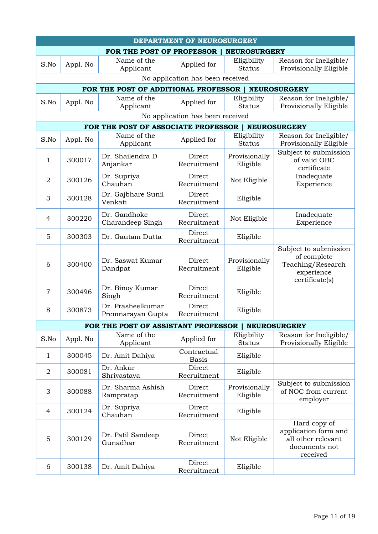| DEPARTMENT OF NEUROSURGERY       |                                                    |                                        |                                  |                              |                                                                                           |  |  |  |
|----------------------------------|----------------------------------------------------|----------------------------------------|----------------------------------|------------------------------|-------------------------------------------------------------------------------------------|--|--|--|
|                                  | FOR THE POST OF PROFESSOR  <br><b>NEUROSURGERY</b> |                                        |                                  |                              |                                                                                           |  |  |  |
| S.No                             | Appl. No                                           | Name of the<br>Applicant               | Applied for                      | Eligibility<br><b>Status</b> | Reason for Ineligible/<br>Provisionally Eligible                                          |  |  |  |
| No application has been received |                                                    |                                        |                                  |                              |                                                                                           |  |  |  |
|                                  |                                                    | FOR THE POST OF ADDITIONAL PROFESSOR   |                                  |                              | <b>NEUROSURGERY</b>                                                                       |  |  |  |
| S.No                             | Appl. No                                           | Name of the<br>Applicant               | Applied for                      | Eligibility<br><b>Status</b> | Reason for Ineligible/<br>Provisionally Eligible                                          |  |  |  |
|                                  |                                                    |                                        | No application has been received |                              |                                                                                           |  |  |  |
|                                  |                                                    | FOR THE POST OF ASSOCIATE PROFESSOR    |                                  |                              | <b>NEUROSURGERY</b>                                                                       |  |  |  |
| S.No                             | Appl. No                                           | Name of the<br>Applicant               | Applied for                      | Eligibility<br><b>Status</b> | Reason for Ineligible/<br>Provisionally Eligible                                          |  |  |  |
| 1                                | 300017                                             | Dr. Shailendra D<br>Anjankar           | Direct<br>Recruitment            | Provisionally<br>Eligible    | Subject to submission<br>of valid OBC<br>certificate                                      |  |  |  |
| $\overline{2}$                   | 300126                                             | Dr. Supriya<br>Chauhan                 | Direct<br>Recruitment            | Not Eligible                 | Inadequate<br>Experience                                                                  |  |  |  |
| 3                                | 300128                                             | Dr. Gajbhare Sunil<br>Venkati          | Direct<br>Recruitment            | Eligible                     |                                                                                           |  |  |  |
| 4                                | 300220                                             | Dr. Gandhoke<br>Charandeep Singh       | Direct<br>Recruitment            | Not Eligible                 | Inadequate<br>Experience                                                                  |  |  |  |
| 5                                | 300303                                             | Dr. Gautam Dutta                       | Direct<br>Recruitment            | Eligible                     |                                                                                           |  |  |  |
| 6                                | 300400                                             | Dr. Saswat Kumar<br>Dandpat            | Direct<br>Recruitment            | Provisionally<br>Eligible    | Subject to submission<br>of complete<br>Teaching/Research<br>experience<br>certificate(s) |  |  |  |
| $\overline{7}$                   | 300496                                             | Dr. Binoy Kumar<br>Singh               | Direct<br>Recruitment            | Eligible                     |                                                                                           |  |  |  |
| 8                                | 300873                                             | Dr. Prasheelkumar<br>Premnarayan Gupta | Direct<br>Recruitment            | Eligible                     |                                                                                           |  |  |  |
|                                  |                                                    | FOR THE POST OF ASSISTANT PROFESSOR    |                                  |                              | <b>NEUROSURGERY</b>                                                                       |  |  |  |
| S.No                             | Appl. No                                           | Name of the<br>Applicant               | Applied for                      | Eligibility<br><b>Status</b> | Reason for Ineligible/<br>Provisionally Eligible                                          |  |  |  |
| 1                                | 300045                                             | Dr. Amit Dahiya                        | Contractual<br><b>Basis</b>      | Eligible                     |                                                                                           |  |  |  |
| $\overline{2}$                   | 300081                                             | Dr. Ankur<br>Shrivastava               | Direct<br>Recruitment            | Eligible                     |                                                                                           |  |  |  |
| 3                                | 300088                                             | Dr. Sharma Ashish<br>Rampratap         | Direct<br>Recruitment            | Provisionally<br>Eligible    | Subject to submission<br>of NOC from current<br>employer                                  |  |  |  |
| 4                                | 300124                                             | Dr. Supriya<br>Chauhan                 | Direct<br>Recruitment            | Eligible                     |                                                                                           |  |  |  |
| 5                                | 300129                                             | Dr. Patil Sandeep<br>Gunadhar          | Direct<br>Recruitment            | Not Eligible                 | Hard copy of<br>application form and<br>all other relevant<br>documents not<br>received   |  |  |  |
| 6                                | 300138                                             | Dr. Amit Dahiya                        | Direct<br>Recruitment            | Eligible                     |                                                                                           |  |  |  |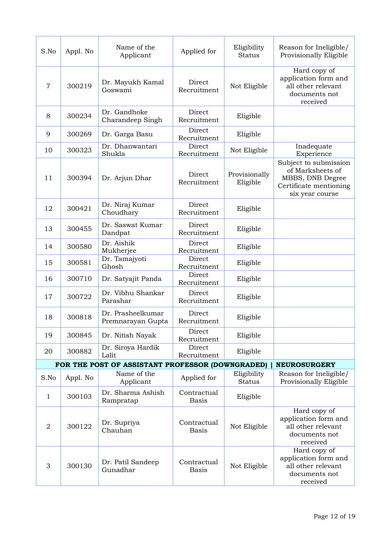| S.No           | Appl. No | Name of the<br>Applicant                         | Applied for                 | Eligibility<br><b>Status</b> | Reason for Ineligible/<br>Provisionally Eligible                                                           |
|----------------|----------|--------------------------------------------------|-----------------------------|------------------------------|------------------------------------------------------------------------------------------------------------|
| $\overline{7}$ | 300219   | Dr. Mayukh Kamal<br>Goswami                      | Direct<br>Recruitment       | Not Eligible                 | Hard copy of<br>application form and<br>all other relevant<br>documents not<br>received                    |
| 8              | 300234   | Dr. Gandhoke<br>Charandeep Singh                 | Direct<br>Recruitment       | Eligible                     |                                                                                                            |
| 9              | 300269   | Dr. Garga Basu                                   | Direct<br>Recruitment       | Eligible                     |                                                                                                            |
| 10             | 300323   | Dr. Dhanwantari<br>Shukla                        | Direct<br>Recruitment       | Not Eligible                 | Inadequate<br>Experience                                                                                   |
| 11             | 300394   | Dr. Arjun Dhar                                   | Direct<br>Recruitment       | Provisionally<br>Eligible    | Subject to submission<br>of Marksheets of<br>MBBS, DNB Degree<br>Certificate mentioning<br>six year course |
| 12             | 300421   | Dr. Niraj Kumar<br>Choudhary                     | Direct<br>Recruitment       | Eligible                     |                                                                                                            |
| 13             | 300455   | Dr. Saswat Kumar<br>Dandpat                      | Direct<br>Recruitment       | Eligible                     |                                                                                                            |
| 14             | 300580   | Dr. Aishik<br>Mukherjee                          | Direct<br>Recruitment       | Eligible                     |                                                                                                            |
| 15             | 300581   | Dr. Tamajyoti<br>Ghosh                           | Direct<br>Recruitment       | Eligible                     |                                                                                                            |
| 16             | 300710   | Dr. Satyajit Panda                               | Direct<br>Recruitment       | Eligible                     |                                                                                                            |
| 17             | 300722   | Dr. Vibhu Shankar<br>Parashar                    | Direct<br>Recruitment       | Eligible                     |                                                                                                            |
| 18             | 300818   | Dr. Prasheelkumar<br>Premnarayan Gupta           | Direct<br>Recruitment       | Eligible                     |                                                                                                            |
| 19             | 300845   | Dr. Nitish Nayak                                 | Direct<br>Recruitment       | Eligible                     |                                                                                                            |
| 20             | 300882   | Dr. Siroya Hardik<br>Lalit                       | Direct<br>Recruitment       | Eligible                     |                                                                                                            |
|                |          | FOR THE POST OF ASSISTANT PROFESSOR (DOWNGRADED) |                             |                              | <b>NEUROSURGERY</b>                                                                                        |
| S.No           | Appl. No | Name of the<br>Applicant                         | Applied for                 | Eligibility<br><b>Status</b> | Reason for Ineligible/<br>Provisionally Eligible                                                           |
| 1              | 300103   | Dr. Sharma Ashish<br>Rampratap                   | Contractual<br><b>Basis</b> | Eligible                     |                                                                                                            |
| $\overline{2}$ | 300122   | Dr. Supriya<br>Chauhan                           | Contractual<br><b>Basis</b> | Not Eligible                 | Hard copy of<br>application form and<br>all other relevant<br>documents not<br>received                    |
| 3              | 300130   | Dr. Patil Sandeep<br>Gunadhar                    | Contractual<br><b>Basis</b> | Not Eligible                 | Hard copy of<br>application form and<br>all other relevant<br>documents not<br>received                    |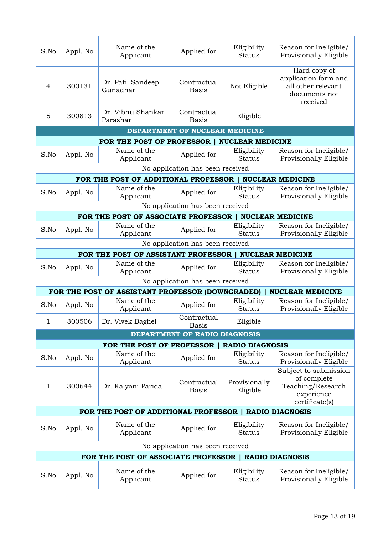| S.No                             | Appl. No | Name of the<br>Applicant                              | Applied for                      | Eligibility<br><b>Status</b> | Reason for Ineligible/<br>Provisionally Eligible                                          |  |  |
|----------------------------------|----------|-------------------------------------------------------|----------------------------------|------------------------------|-------------------------------------------------------------------------------------------|--|--|
| 4                                | 300131   | Dr. Patil Sandeep<br>Gunadhar                         | Contractual<br><b>Basis</b>      | Not Eligible                 | Hard copy of<br>application form and<br>all other relevant<br>documents not<br>received   |  |  |
| 5                                | 300813   | Dr. Vibhu Shankar<br>Parashar                         | Contractual<br><b>Basis</b>      | Eligible                     |                                                                                           |  |  |
|                                  |          |                                                       | DEPARTMENT OF NUCLEAR MEDICINE   |                              |                                                                                           |  |  |
|                                  |          | FOR THE POST OF PROFESSOR                             |                                  | <b>NUCLEAR MEDICINE</b>      |                                                                                           |  |  |
| S.No                             | Appl. No | Name of the<br>Applicant                              | Applied for                      | Eligibility<br><b>Status</b> | Reason for Ineligible/<br>Provisionally Eligible                                          |  |  |
|                                  |          |                                                       | No application has been received |                              |                                                                                           |  |  |
|                                  |          | FOR THE POST OF ADDITIONAL PROFESSOR                  |                                  |                              | <b>NUCLEAR MEDICINE</b>                                                                   |  |  |
| S.No                             | Appl. No | Name of the<br>Applicant                              | Applied for                      | Eligibility<br><b>Status</b> | Reason for Ineligible/<br>Provisionally Eligible                                          |  |  |
|                                  |          |                                                       | No application has been received |                              |                                                                                           |  |  |
|                                  |          | FOR THE POST OF ASSOCIATE PROFESSOR                   |                                  |                              | <b>NUCLEAR MEDICINE</b>                                                                   |  |  |
| S.No                             | Appl. No | Name of the<br>Applicant                              | Applied for                      | Eligibility<br><b>Status</b> | Reason for Ineligible/<br>Provisionally Eligible                                          |  |  |
| No application has been received |          |                                                       |                                  |                              |                                                                                           |  |  |
|                                  |          | FOR THE POST OF ASSISTANT PROFESSOR                   |                                  |                              | <b>NUCLEAR MEDICINE</b>                                                                   |  |  |
| S.No                             | Appl. No | Name of the<br>Applicant                              | Applied for                      | Eligibility<br><b>Status</b> | Reason for Ineligible/<br>Provisionally Eligible                                          |  |  |
|                                  |          |                                                       | No application has been received |                              |                                                                                           |  |  |
|                                  |          | FOR THE POST OF ASSISTANT PROFESSOR (DOWNGRADED)      |                                  |                              | <b>NUCLEAR MEDICINE</b>                                                                   |  |  |
| S.No                             | Appl. No | Name of the<br>Applicant                              | Applied for                      | Eligibility<br><b>Status</b> | Reason for Ineligible/<br>Provisionally Eligible                                          |  |  |
| $\mathbf{1}$                     | 300506   | Dr. Vivek Baghel                                      | Contractual<br><b>Basis</b>      | Eligible                     |                                                                                           |  |  |
|                                  |          |                                                       | DEPARTMENT OF RADIO DIAGNOSIS    |                              |                                                                                           |  |  |
|                                  |          | FOR THE POST OF PROFESSOR                             |                                  | <b>RADIO DIAGNOSIS</b>       |                                                                                           |  |  |
| S.No                             | Appl. No | Name of the<br>Applicant                              | Applied for                      | Eligibility<br><b>Status</b> | Reason for Ineligible/<br>Provisionally Eligible                                          |  |  |
| 1                                | 300644   | Dr. Kalyani Parida                                    | Contractual<br><b>Basis</b>      | Provisionally<br>Eligible    | Subject to submission<br>of complete<br>Teaching/Research<br>experience<br>certificate(s) |  |  |
|                                  |          | FOR THE POST OF ADDITIONAL PROFESSOR                  |                                  |                              | <b>RADIO DIAGNOSIS</b>                                                                    |  |  |
| S.No                             | Appl. No | Name of the<br>Applicant                              | Applied for                      | Eligibility<br><b>Status</b> | Reason for Ineligible/<br>Provisionally Eligible                                          |  |  |
|                                  |          |                                                       | No application has been received |                              |                                                                                           |  |  |
|                                  |          | FOR THE POST OF ASSOCIATE PROFESSOR   RADIO DIAGNOSIS |                                  |                              |                                                                                           |  |  |
| S.No                             | Appl. No | Name of the<br>Applicant                              | Applied for                      | Eligibility<br><b>Status</b> | Reason for Ineligible/<br>Provisionally Eligible                                          |  |  |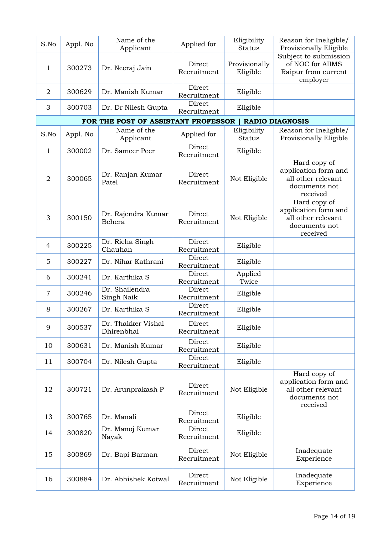| S.No           | Appl. No | Name of the<br>Applicant            | Applied for           | Eligibility<br><b>Status</b> | Reason for Ineligible/<br>Provisionally Eligible                                        |
|----------------|----------|-------------------------------------|-----------------------|------------------------------|-----------------------------------------------------------------------------------------|
| 1              | 300273   | Dr. Neeraj Jain                     | Direct<br>Recruitment | Provisionally<br>Eligible    | Subject to submission<br>of NOC for AIIMS<br>Raipur from current<br>employer            |
| $\overline{2}$ | 300629   | Dr. Manish Kumar                    | Direct<br>Recruitment | Eligible                     |                                                                                         |
| 3              | 300703   | Dr. Dr Nilesh Gupta                 | Direct<br>Recruitment | Eligible                     |                                                                                         |
|                |          | FOR THE POST OF ASSISTANT PROFESSOR |                       |                              | <b>RADIO DIAGNOSIS</b>                                                                  |
| S.No           | Appl. No | Name of the<br>Applicant            | Applied for           | Eligibility<br><b>Status</b> | Reason for Ineligible/<br>Provisionally Eligible                                        |
| 1              | 300002   | Dr. Sameer Peer                     | Direct<br>Recruitment | Eligible                     |                                                                                         |
| $\overline{2}$ | 300065   | Dr. Ranjan Kumar<br>Patel           | Direct<br>Recruitment | Not Eligible                 | Hard copy of<br>application form and<br>all other relevant<br>documents not<br>received |
| 3              | 300150   | Dr. Rajendra Kumar<br>Behera        | Direct<br>Recruitment | Not Eligible                 | Hard copy of<br>application form and<br>all other relevant<br>documents not<br>received |
| 4              | 300225   | Dr. Richa Singh<br>Chauhan          | Direct<br>Recruitment | Eligible                     |                                                                                         |
| 5              | 300227   | Dr. Nihar Kathrani                  | Direct<br>Recruitment | Eligible                     |                                                                                         |
| 6              | 300241   | Dr. Karthika S                      | Direct<br>Recruitment | Applied<br>Twice             |                                                                                         |
| $\overline{7}$ | 300246   | Dr. Shailendra<br>Singh Naik        | Direct<br>Recruitment | Eligible                     |                                                                                         |
| 8              | 300267   | Dr. Karthika S                      | Direct<br>Recruitment | Eligible                     |                                                                                         |
| 9              | 300537   | Dr. Thakker Vishal<br>Dhirenbhai    | Direct<br>Recruitment | Eligible                     |                                                                                         |
| 10             | 300631   | Dr. Manish Kumar                    | Direct<br>Recruitment | Eligible                     |                                                                                         |
| 11             | 300704   | Dr. Nilesh Gupta                    | Direct<br>Recruitment | Eligible                     |                                                                                         |
| 12             | 300721   | Dr. Arunprakash P                   | Direct<br>Recruitment | Not Eligible                 | Hard copy of<br>application form and<br>all other relevant<br>documents not<br>received |
| 13             | 300765   | Dr. Manali                          | Direct<br>Recruitment | Eligible                     |                                                                                         |
| 14             | 300820   | Dr. Manoj Kumar<br>Nayak            | Direct<br>Recruitment | Eligible                     |                                                                                         |
| 15             | 300869   | Dr. Bapi Barman                     | Direct<br>Recruitment | Not Eligible                 | Inadequate<br>Experience                                                                |
| 16             | 300884   | Dr. Abhishek Kotwal                 | Direct<br>Recruitment | Not Eligible                 | Inadequate<br>Experience                                                                |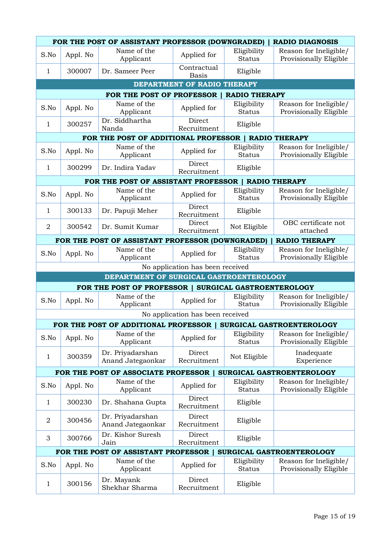|                | FOR THE POST OF ASSISTANT PROFESSOR (DOWNGRADED)<br><b>RADIO DIAGNOSIS</b> |                                                       |                                  |                              |                                                  |  |
|----------------|----------------------------------------------------------------------------|-------------------------------------------------------|----------------------------------|------------------------------|--------------------------------------------------|--|
| S.No           | Appl. No                                                                   | Name of the<br>Applicant                              | Applied for                      | Eligibility<br><b>Status</b> | Reason for Ineligible/<br>Provisionally Eligible |  |
| $\mathbf 1$    | 300007                                                                     | Dr. Sameer Peer                                       | Contractual<br><b>Basis</b>      | Eligible                     |                                                  |  |
|                |                                                                            |                                                       | DEPARTMENT OF RADIO THERAPY      |                              |                                                  |  |
|                |                                                                            | FOR THE POST OF PROFESSOR                             |                                  | <b>RADIO THERAPY</b>         |                                                  |  |
| S.No           | Appl. No                                                                   | Name of the<br>Applicant                              | Applied for                      | Eligibility<br><b>Status</b> | Reason for Ineligible/<br>Provisionally Eligible |  |
| 1              | 300257                                                                     | Dr. Siddhartha<br>Nanda                               | Direct<br>Recruitment            | Eligible                     |                                                  |  |
|                |                                                                            | FOR THE POST OF ADDITIONAL PROFESSOR   RADIO THERAPY  |                                  |                              |                                                  |  |
| S.No           | Appl. No                                                                   | Name of the<br>Applicant                              | Applied for                      | Eligibility<br><b>Status</b> | Reason for Ineligible/<br>Provisionally Eligible |  |
| $\mathbf{1}$   | 300299                                                                     | Dr. Indira Yadav                                      | Direct<br>Recruitment            | Eligible                     |                                                  |  |
|                |                                                                            | FOR THE POST OF ASSISTANT PROFESSOR   RADIO THERAPY   |                                  |                              |                                                  |  |
| S.No           | Appl. No                                                                   | Name of the<br>Applicant                              | Applied for                      | Eligibility<br><b>Status</b> | Reason for Ineligible/<br>Provisionally Eligible |  |
| $\mathbf 1$    | 300133                                                                     | Dr. Papuji Meher                                      | Direct<br>Recruitment            | Eligible                     |                                                  |  |
| $\overline{2}$ | 300542                                                                     | Dr. Sumit Kumar                                       | Direct<br>Recruitment            | Not Eligible                 | OBC certificate not<br>attached                  |  |
|                |                                                                            | FOR THE POST OF ASSISTANT PROFESSOR (DOWNGRADED)      |                                  |                              | <b>RADIO THERAPY</b>                             |  |
| S.No           | Appl. No                                                                   | Name of the<br>Applicant                              | Applied for                      | Eligibility<br><b>Status</b> | Reason for Ineligible/<br>Provisionally Eligible |  |
|                |                                                                            |                                                       | No application has been received |                              |                                                  |  |
|                |                                                                            | DEPARTMENT OF SURGICAL GASTROENTEROLOGY               |                                  |                              |                                                  |  |
|                |                                                                            | FOR THE POST OF PROFESSOR   SURGICAL GASTROENTEROLOGY |                                  |                              |                                                  |  |
| S.No           | Appl. No                                                                   | Name of the<br>Applicant                              | Applied for                      | Eligibility<br><b>Status</b> | Reason for Ineligible/<br>Provisionally Eligible |  |
|                |                                                                            |                                                       | No application has been received |                              |                                                  |  |
|                |                                                                            | FOR THE POST OF ADDITIONAL PROFESSOR                  |                                  |                              | SURGICAL GASTROENTEROLOGY                        |  |
| S.No           | Appl. No                                                                   | Name of the<br>Applicant                              | Applied for                      | Eligibility<br><b>Status</b> | Reason for Ineligible/<br>Provisionally Eligible |  |
| $\mathbf 1$    | 300359                                                                     | Dr. Priyadarshan<br>Anand Jategaonkar                 | Direct<br>Recruitment            | Not Eligible                 | Inadequate<br>Experience                         |  |
|                |                                                                            | FOR THE POST OF ASSOCIATE PROFESSOR                   |                                  |                              | SURGICAL GASTROENTEROLOGY                        |  |
| S.No           | Appl. No                                                                   | Name of the<br>Applicant                              | Applied for                      | Eligibility<br><b>Status</b> | Reason for Ineligible/<br>Provisionally Eligible |  |
| 1              | 300230                                                                     | Dr. Shahana Gupta                                     | Direct<br>Recruitment            | Eligible                     |                                                  |  |
| $\overline{2}$ | 300456                                                                     | Dr. Priyadarshan<br>Anand Jategaonkar                 | Direct<br>Recruitment            | Eligible                     |                                                  |  |
| 3              | 300766                                                                     | Dr. Kishor Suresh<br>Jain                             | Direct<br>Recruitment            | Eligible                     |                                                  |  |
|                |                                                                            | FOR THE POST OF ASSISTANT PROFESSOR                   |                                  |                              | SURGICAL GASTROENTEROLOGY                        |  |
| S.No           | Appl. No                                                                   | Name of the<br>Applicant                              | Applied for                      | Eligibility<br><b>Status</b> | Reason for Ineligible/<br>Provisionally Eligible |  |
| 1              | 300156                                                                     | Dr. Mayank<br>Shekhar Sharma                          | Direct<br>Recruitment            | Eligible                     |                                                  |  |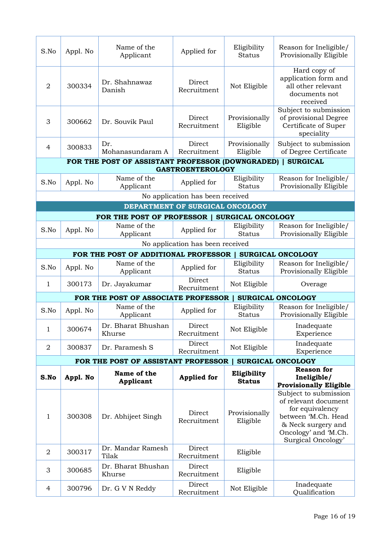| S.No           | Appl. No | Name of the<br>Applicant                         | Applied for                      | Eligibility<br><b>Status</b> | Reason for Ineligible/<br>Provisionally Eligible                                                                                                            |
|----------------|----------|--------------------------------------------------|----------------------------------|------------------------------|-------------------------------------------------------------------------------------------------------------------------------------------------------------|
| $\overline{2}$ | 300334   | Dr. Shahnawaz<br>Danish                          | Direct<br>Recruitment            | Not Eligible                 | Hard copy of<br>application form and<br>all other relevant<br>documents not<br>received                                                                     |
| 3              | 300662   | Dr. Souvik Paul                                  | Direct<br>Recruitment            | Provisionally<br>Eligible    | Subject to submission<br>of provisional Degree<br>Certificate of Super<br>speciality                                                                        |
| 4              | 300833   | Dr.<br>Mohanasundaram A                          | Direct<br>Recruitment            | Provisionally<br>Eligible    | Subject to submission<br>of Degree Certificate                                                                                                              |
|                |          | FOR THE POST OF ASSISTANT PROFESSOR (DOWNGRADED) |                                  |                              | <b>SURGICAL</b>                                                                                                                                             |
|                |          |                                                  | <b>GASTROENTEROLOGY</b>          |                              |                                                                                                                                                             |
| S.No           | Appl. No | Name of the<br>Applicant                         | Applied for                      | Eligibility<br><b>Status</b> | Reason for Ineligible/<br>Provisionally Eligible                                                                                                            |
|                |          |                                                  | No application has been received |                              |                                                                                                                                                             |
|                |          |                                                  | DEPARTMENT OF SURGICAL ONCOLOGY  |                              |                                                                                                                                                             |
|                |          | FOR THE POST OF PROFESSOR                        |                                  | <b>SURGICAL ONCOLOGY</b>     |                                                                                                                                                             |
| S.No           | Appl. No | Name of the<br>Applicant                         | Applied for                      | Eligibility<br><b>Status</b> | Reason for Ineligible/<br>Provisionally Eligible                                                                                                            |
|                |          |                                                  | No application has been received |                              |                                                                                                                                                             |
|                |          | FOR THE POST OF ADDITIONAL PROFESSOR             |                                  |                              | <b>SURGICAL ONCOLOGY</b>                                                                                                                                    |
| S.No           | Appl. No | Name of the<br>Applicant                         | Applied for                      | Eligibility<br><b>Status</b> | Reason for Ineligible/<br>Provisionally Eligible                                                                                                            |
| 1              | 300173   | Dr. Jayakumar                                    | Direct<br>Recruitment            | Not Eligible                 | Overage                                                                                                                                                     |
|                |          | FOR THE POST OF ASSOCIATE PROFESSOR              |                                  |                              | SURGICAL ONCOLOGY                                                                                                                                           |
| S.No           | Appl. No | Name of the<br>Applicant                         | Applied for                      | Eligibility<br><b>Status</b> | Reason for Ineligible/<br>Provisionally Eligible                                                                                                            |
| 1              | 300674   | Dr. Bharat Bhushan<br>Khurse                     | Direct<br>Recruitment            | Not Eligible                 | Inadequate<br>Experience                                                                                                                                    |
| 2              | 300837   | Dr. Paramesh S                                   | Direct<br>Recruitment            | Not Eligible                 | Inadequate<br>Experience                                                                                                                                    |
|                |          | FOR THE POST OF ASSISTANT PROFESSOR              |                                  |                              | SURGICAL ONCOLOGY                                                                                                                                           |
|                |          | Name of the                                      |                                  | Eligibility                  | <b>Reason for</b>                                                                                                                                           |
| S.No           | Appl. No | <b>Applicant</b>                                 | <b>Applied for</b>               | <b>Status</b>                | Ineligible/<br><b>Provisionally Eligible</b>                                                                                                                |
| $\mathbf{1}$   | 300308   | Dr. Abhijeet Singh                               | Direct<br>Recruitment            | Provisionally<br>Eligible    | Subject to submission<br>of relevant document<br>for equivalency<br>between 'M.Ch. Head<br>& Neck surgery and<br>Oncology' and 'M.Ch.<br>Surgical Oncology' |
| $\overline{2}$ | 300317   | Dr. Mandar Ramesh<br>Tilak                       | Direct<br>Recruitment            | Eligible                     |                                                                                                                                                             |
| 3              | 300685   | Dr. Bharat Bhushan<br>Khurse                     | Direct<br>Recruitment            | Eligible                     |                                                                                                                                                             |
| 4              | 300796   | Dr. G V N Reddy                                  | Direct<br>Recruitment            | Not Eligible                 | Inadequate<br>Qualification                                                                                                                                 |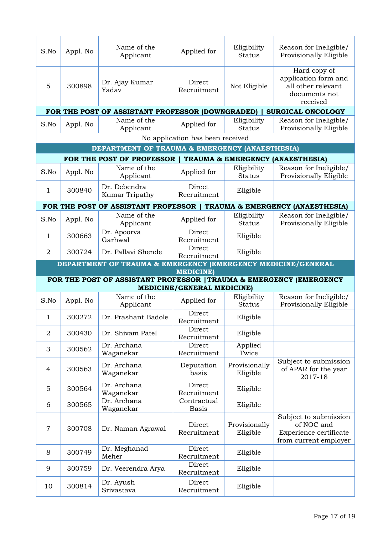| S.No           | Appl. No | Name of the<br>Applicant                                            | Applied for                       | Eligibility<br><b>Status</b> | Reason for Ineligible/<br>Provisionally Eligible                                        |
|----------------|----------|---------------------------------------------------------------------|-----------------------------------|------------------------------|-----------------------------------------------------------------------------------------|
| 5              | 300898   | Dr. Ajay Kumar<br>Yadav                                             | Direct<br>Recruitment             | Not Eligible                 | Hard copy of<br>application form and<br>all other relevant<br>documents not<br>received |
|                |          | FOR THE POST OF ASSISTANT PROFESSOR (DOWNGRADED)                    |                                   |                              | <b>SURGICAL ONCOLOGY</b>                                                                |
| S.No           | Appl. No | Name of the<br>Applicant                                            | Applied for                       | Eligibility<br><b>Status</b> | Reason for Ineligible/<br>Provisionally Eligible                                        |
|                |          |                                                                     | No application has been received  |                              |                                                                                         |
|                |          | DEPARTMENT OF TRAUMA & EMERGENCY (ANAESTHESIA)                      |                                   |                              |                                                                                         |
|                |          | FOR THE POST OF PROFESSOR                                           |                                   |                              | <b>TRAUMA &amp; EMERGENCY (ANAESTHESIA)</b>                                             |
| S.No           | Appl. No | Name of the<br>Applicant                                            | Applied for                       | Eligibility<br><b>Status</b> | Reason for Ineligible/<br>Provisionally Eligible                                        |
| $\mathbf{1}$   | 300840   | Dr. Debendra<br>Kumar Tripathy                                      | Direct<br>Recruitment             | Eligible                     |                                                                                         |
|                |          | FOR THE POST OF ASSISTANT PROFESSOR                                 |                                   |                              | <b>TRAUMA &amp; EMERGENCY (ANAESTHESIA)</b>                                             |
| S.No           | Appl. No | Name of the<br>Applicant                                            | Applied for                       | Eligibility<br><b>Status</b> | Reason for Ineligible/<br>Provisionally Eligible                                        |
| $\mathbf{1}$   | 300663   | Dr. Apoorva<br>Garhwal                                              | Direct<br>Recruitment             | Eligible                     |                                                                                         |
| $\overline{2}$ | 300724   | Dr. Pallavi Shende                                                  | Direct<br>Recruitment             | Eligible                     |                                                                                         |
|                |          | DEPARTMENT OF TRAUMA & EMERGENCY (EMERGENCY MEDICINE/GENERAL        |                                   |                              |                                                                                         |
|                |          | FOR THE POST OF ASSISTANT PROFESSOR   TRAUMA & EMERGENCY (EMERGENCY | <b>MEDICINE</b> )                 |                              |                                                                                         |
|                |          |                                                                     | <b>MEDICINE/GENERAL MEDICINE)</b> |                              |                                                                                         |
| S.No           | Appl. No | Name of the<br>Applicant                                            | Applied for                       | Eligibility<br><b>Status</b> | Reason for Ineligible/<br>Provisionally Eligible                                        |
| 1              | 300272   | Dr. Prashant Badole                                                 | Direct<br>Recruitment             | Eligible                     |                                                                                         |
| $\overline{2}$ | 300430   | Dr. Shivam Patel                                                    | Direct<br>Recruitment             | Eligible                     |                                                                                         |
| 3              | 300562   | Dr. Archana<br>Waganekar                                            | Direct<br>Recruitment             | Applied<br>Twice             |                                                                                         |
| $\overline{4}$ | 300563   | Dr. Archana<br>Waganekar                                            | Deputation<br>basis               | Provisionally<br>Eligible    | Subject to submission<br>of APAR for the year<br>2017-18                                |
| 5              | 300564   | Dr. Archana<br>Waganekar                                            | Direct<br>Recruitment             | Eligible                     |                                                                                         |
| 6              | 300565   | Dr. Archana<br>Waganekar                                            | Contractual<br><b>Basis</b>       | Eligible                     |                                                                                         |
| $\overline{7}$ | 300708   | Dr. Naman Agrawal                                                   | Direct<br>Recruitment             | Provisionally<br>Eligible    | Subject to submission<br>of NOC and<br>Experience certificate<br>from current employer  |
| 8              | 300749   | Dr. Meghanad<br>Meher                                               | Direct<br>Recruitment             | Eligible                     |                                                                                         |
| 9              | 300759   | Dr. Veerendra Arya                                                  | Direct                            | Eligible                     |                                                                                         |
|                |          |                                                                     | Recruitment                       |                              |                                                                                         |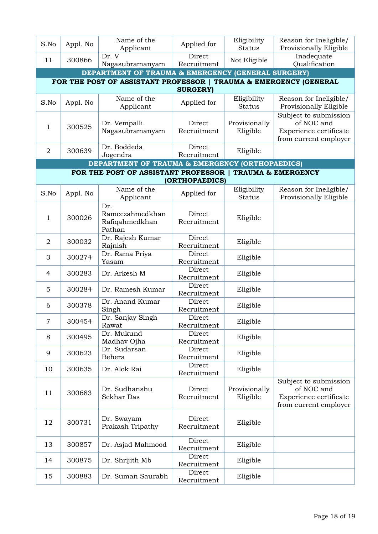| S.No           | Appl. No                                                                             | Name of the<br>Applicant                                      | Applied for           | Eligibility<br><b>Status</b> | Reason for Ineligible/<br>Provisionally Eligible                                       |  |  |  |  |
|----------------|--------------------------------------------------------------------------------------|---------------------------------------------------------------|-----------------------|------------------------------|----------------------------------------------------------------------------------------|--|--|--|--|
| 11             | 300866                                                                               | $Dr.  \overline{V}$<br>Nagasubramanyam                        | Direct<br>Recruitment | Not Eligible                 | Inadequate<br>Qualification                                                            |  |  |  |  |
|                |                                                                                      | <b>DEPARTMENT OF TRAUMA &amp; EMERGENCY (GENERAL SURGERY)</b> |                       |                              |                                                                                        |  |  |  |  |
|                | FOR THE POST OF ASSISTANT PROFESSOR   TRAUMA & EMERGENCY (GENERAL<br><b>SURGERY)</b> |                                                               |                       |                              |                                                                                        |  |  |  |  |
| S.No           | Appl. No                                                                             | Name of the<br>Applicant                                      | Applied for           | Eligibility<br><b>Status</b> | Reason for Ineligible/<br>Provisionally Eligible                                       |  |  |  |  |
| 1              | 300525                                                                               | Dr. Vempalli<br>Nagasubramanyam                               | Direct<br>Recruitment | Provisionally<br>Eligible    | Subject to submission<br>of NOC and<br>Experience certificate<br>from current employer |  |  |  |  |
| $\overline{2}$ | 300639                                                                               | Dr. Boddeda<br>Jogendra                                       | Direct<br>Recruitment | Eligible                     |                                                                                        |  |  |  |  |
|                |                                                                                      | <b>DEPARTMENT OF TRAUMA &amp; EMERGENCY (ORTHOPAEDICS)</b>    |                       |                              |                                                                                        |  |  |  |  |
|                |                                                                                      | FOR THE POST OF ASSISTANT PROFESSOR   TRAUMA & EMERGENCY      |                       |                              |                                                                                        |  |  |  |  |
|                |                                                                                      |                                                               | (ORTHOPAEDICS)        |                              |                                                                                        |  |  |  |  |
| S.No           | Appl. No                                                                             | Name of the<br>Applicant                                      | Applied for           | Eligibility<br><b>Status</b> | Reason for Ineligible/<br>Provisionally Eligible                                       |  |  |  |  |
| 1              | 300026                                                                               | Dr.<br>Rameezahmedkhan<br>Rafiqahmedkhan<br>Pathan            | Direct<br>Recruitment | Eligible                     |                                                                                        |  |  |  |  |
| $\overline{2}$ | 300032                                                                               | Dr. Rajesh Kumar<br>Rajnish                                   | Direct<br>Recruitment | Eligible                     |                                                                                        |  |  |  |  |
| 3              | 300274                                                                               | Dr. Rama Priya<br>Yasam                                       | Direct<br>Recruitment | Eligible                     |                                                                                        |  |  |  |  |
| 4              | 300283                                                                               | Dr. Arkesh M                                                  | Direct<br>Recruitment | Eligible                     |                                                                                        |  |  |  |  |
| 5              | 300284                                                                               | Dr. Ramesh Kumar                                              | Direct<br>Recruitment | Eligible                     |                                                                                        |  |  |  |  |
| 6              | 300378                                                                               | Dr. Anand Kumar<br>Singh                                      | Direct<br>Recruitment | Eligible                     |                                                                                        |  |  |  |  |
| $\overline{7}$ | 300454                                                                               | Dr. Sanjay Singh<br>Rawat                                     | Direct<br>Recruitment | Eligible                     |                                                                                        |  |  |  |  |
| 8              | 300495                                                                               | Dr. Mukund<br>Madhav Ojha                                     | Direct<br>Recruitment | Eligible                     |                                                                                        |  |  |  |  |
| 9              | 300623                                                                               | Dr. Sudarsan<br>Behera                                        | Direct<br>Recruitment | Eligible                     |                                                                                        |  |  |  |  |
| 10             | 300635                                                                               | Dr. Alok Rai                                                  | Direct<br>Recruitment | Eligible                     |                                                                                        |  |  |  |  |
| 11             | 300683                                                                               | Dr. Sudhanshu<br>Sekhar Das                                   | Direct<br>Recruitment | Provisionally<br>Eligible    | Subject to submission<br>of NOC and<br>Experience certificate<br>from current employer |  |  |  |  |
| 12             | 300731                                                                               | Dr. Swayam<br>Prakash Tripathy                                | Direct<br>Recruitment | Eligible                     |                                                                                        |  |  |  |  |
| 13             | 300857                                                                               | Dr. Asjad Mahmood                                             | Direct<br>Recruitment | Eligible                     |                                                                                        |  |  |  |  |
| 14             | 300875                                                                               | Dr. Shrijith Mb                                               | Direct<br>Recruitment | Eligible                     |                                                                                        |  |  |  |  |
| 15             | 300883                                                                               | Dr. Suman Saurabh                                             | Direct<br>Recruitment | Eligible                     |                                                                                        |  |  |  |  |